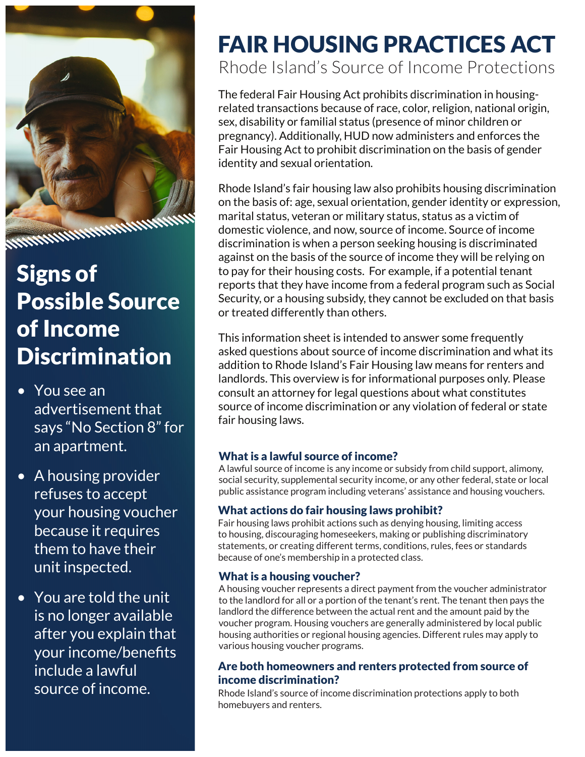

## Signs of Possible Source of Income **Discrimination**

- You see an advertisement that says "No Section 8" for an apartment.
- A housing provider refuses to accept your housing voucher because it requires them to have their unit inspected.
- You are told the unit is no longer available after you explain that your income/benefits include a lawful source of income.

# FAIR HOUSING PRACTICES ACT

Rhode Island's Source of Income Protections

The federal Fair Housing Act prohibits discrimination in housingrelated transactions because of race, color, religion, national origin, sex, disability or familial status (presence of minor children or pregnancy). Additionally, HUD now administers and enforces the Fair Housing Act to prohibit discrimination on the basis of gender identity and sexual orientation.

Rhode Island's fair housing law also prohibits housing discrimination on the basis of: age, sexual orientation, gender identity or expression, marital status, veteran or military status, status as a victim of domestic violence, and now, source of income. Source of income discrimination is when a person seeking housing is discriminated against on the basis of the source of income they will be relying on to pay for their housing costs. For example, if a potential tenant reports that they have income from a federal program such as Social Security, or a housing subsidy, they cannot be excluded on that basis or treated differently than others.

This information sheet is intended to answer some frequently asked questions about source of income discrimination and what its addition to Rhode Island's Fair Housing law means for renters and landlords. This overview is for informational purposes only. Please consult an attorney for legal questions about what constitutes source of income discrimination or any violation of federal or state fair housing laws.

#### What is a lawful source of income?

A lawful source of income is any income or subsidy from child support, alimony, social security, supplemental security income, or any other federal, state or local public assistance program including veterans' assistance and housing vouchers.

#### What actions do fair housing laws prohibit?

Fair housing laws prohibit actions such as denying housing, limiting access to housing, discouraging homeseekers, making or publishing discriminatory statements, or creating different terms, conditions, rules, fees or standards because of one's membership in a protected class.

#### What is a housing voucher?

A housing voucher represents a direct payment from the voucher administrator to the landlord for all or a portion of the tenant's rent. The tenant then pays the landlord the difference between the actual rent and the amount paid by the voucher program. Housing vouchers are generally administered by local public housing authorities or regional housing agencies. Different rules may apply to various housing voucher programs.

#### Are both homeowners and renters protected from source of income discrimination?

Rhode Island's source of income discrimination protections apply to both homebuyers and renters.